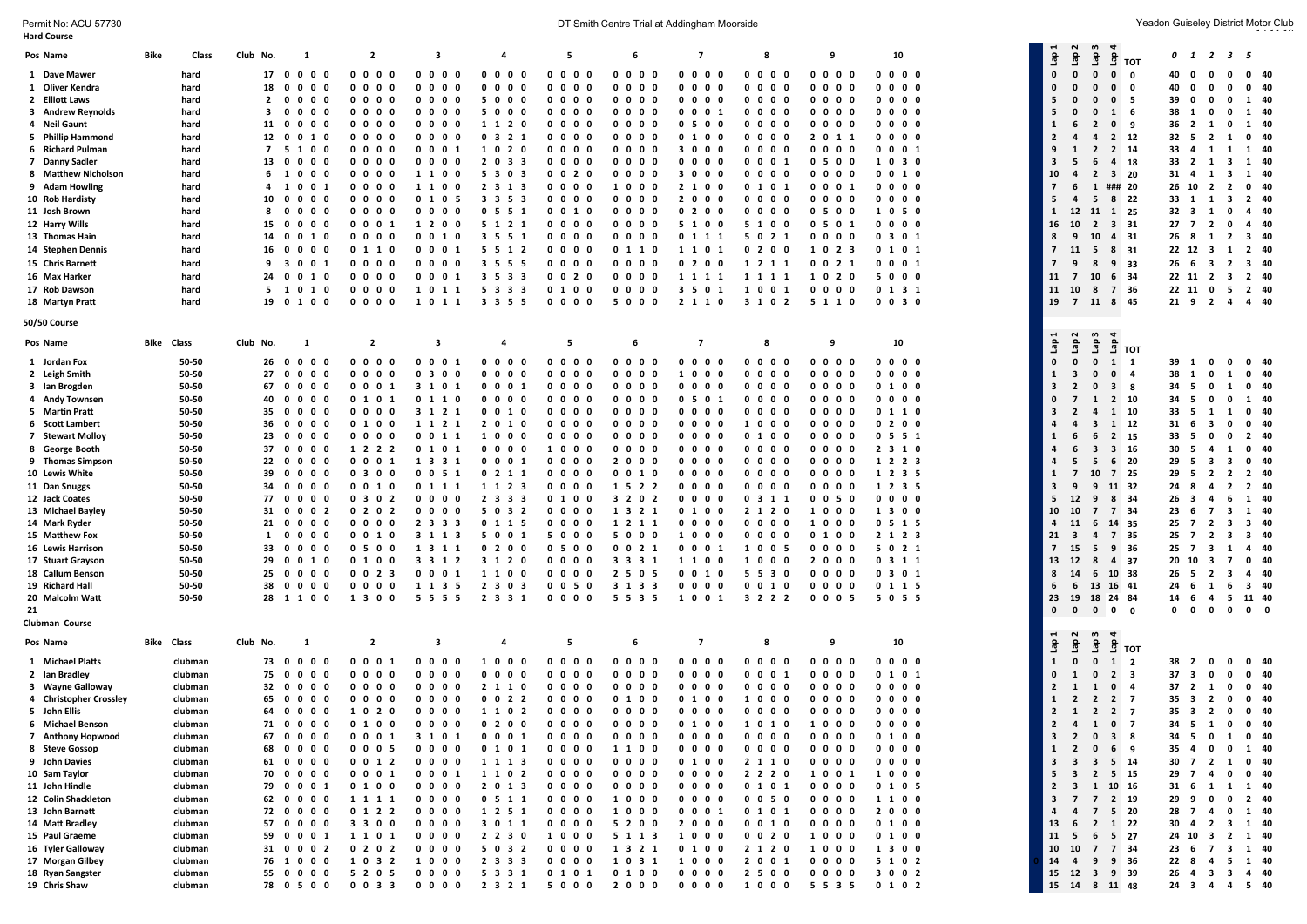Permit No: ACU 57730 Yeadon Guiseley District Motor Club<br>Hard Course

| <b>Hard Course</b>                                                                |                    |                   |                                                     |                                                                   |                                                           |                                     |                                        |                                      |                                                      |                                        |                                             |                                  |  |                                |                                                    |                                   |                                  |                                                                    |                        |
|-----------------------------------------------------------------------------------|--------------------|-------------------|-----------------------------------------------------|-------------------------------------------------------------------|-----------------------------------------------------------|-------------------------------------|----------------------------------------|--------------------------------------|------------------------------------------------------|----------------------------------------|---------------------------------------------|----------------------------------|--|--------------------------------|----------------------------------------------------|-----------------------------------|----------------------------------|--------------------------------------------------------------------|------------------------|
| Pos Name                                                                          | Bike               | Class<br>Club No. | $\mathbf{1}$                                        | $\overline{2}$                                                    | 3                                                         | $\overline{a}$                      | 5                                      | 6                                    | $\overline{7}$                                       | 8                                      | 9                                           | 10                               |  | Lap1                           | Lap 2<br>Lap <sub>3</sub>                          | $rac{a}{2}$ тот                   |                                  | 0 1 2 3 5                                                          |                        |
| 1 Dave Mawer                                                                      | hard               |                   | 17 0 0 0 0                                          | 0000                                                              | $0\quad 0\quad 0\quad 0$                                  | 0000                                | 0000                                   | 0000                                 | $0\quad 0\quad 0\quad 0$                             | $0\,0\,0\,0$                           | 0000                                        | $0\quad 0\quad 0\quad 0$         |  | $\mathbf 0$                    | $\mathbf{0}$<br>$\mathbf{0}$                       | 0 <sub>0</sub>                    |                                  | 40 0 0 0 0 40                                                      |                        |
| 1 Oliver Kendra                                                                   | hard               |                   | 18 0 0 0 0                                          | 0000                                                              | 0000                                                      | $0\quad 0\quad 0\quad 0$            | $0\quad 0\quad 0\quad 0$               | $0\quad 0\quad 0\quad 0$             | $0\quad 0\quad 0\quad 0$                             | $0\quad 0\quad 0\quad 0\quad$          | $0\quad 0\quad 0\quad 0$                    | $0\quad 0\quad 0\quad 0$         |  | $\mathbf{0}$                   | $\mathbf{0}$<br>$\mathbf{r}$                       | $0\quad 0$                        | 40 0 0                           | $\mathbf 0$                                                        | $0$ 40                 |
| 2 Elliott Laws                                                                    | hard               |                   | 2 0 0 0 0                                           | 0000                                                              | 0000                                                      | 5000                                | $0\ 0\ 0\ 0$                           | $0\quad 0\quad 0\quad 0$             | $0\quad 0\quad 0\quad 0$                             | $0\,0\,0\,0$                           | $0\quad 0\quad 0\quad 0$                    | $0\quad 0\quad 0\quad 0$         |  | 5                              | $\mathbf{0}$<br>$\Omega$                           | 0 <sub>5</sub>                    | 39 0                             | $\mathbf 0$                                                        | $0 \quad 1 \quad 40$   |
| 3 Andrew Reynolds                                                                 | hard               |                   | 30000                                               | 0000                                                              | $0\ 0\ 0\ 0$                                              | 5000                                | $0\ 0\ 0\ 0$                           | 0000                                 | 0 0 0 1                                              | $0\quad 0\quad 0\quad 0$               | $0\quad 0\quad 0\quad 0$                    | $0\quad 0\quad 0\quad 0$         |  | 5                              | $\mathbf{0}$<br>$\Omega$                           | $1\quad 6$                        | 38 1                             | 0                                                                  | $0 \t1 \t40$           |
| 4 Neil Gaunt                                                                      | hard               |                   | 11 0 0 0 0                                          | 0000                                                              | $0\quad 0\quad 0\quad 0$                                  | 1 1 2 0                             | $0\ 0\ 0\ 0$                           | 0000                                 | 0500                                                 | $0\,0\,0\,0$                           | $0\quad 0\quad 0\quad 0$                    | $0\quad 0\quad 0\quad 0$         |  | $\mathbf{1}$                   | $\overline{2}$                                     | 0 <sub>9</sub>                    | $36 \quad 2 \quad 1$             | $\mathbf 0$                                                        | 1 40                   |
| 5 Phillip Hammond                                                                 | hard               |                   | 12 0 0 1 0                                          | 0000                                                              | $0\quad 0\quad 0\quad 0$                                  | 0321                                | $0\ 0\ 0\ 0$                           | $0\quad 0\quad 0\quad 0$             | 0 1 0 0                                              | $0\quad 0\quad 0\quad 0$               | 2 0 1 1                                     | $0\ 0\ 0\ 0$                     |  | $\overline{2}$                 | $\overline{a}$<br>$\overline{4}$                   | 2 12                              |                                  | 32 5 2 1 0 40                                                      |                        |
| 6 Richard Pulman                                                                  | hard               |                   | 7 5 1 0 0                                           | 0000                                                              | 0001                                                      | 1020                                | $0\ 0\ 0\ 0$                           | 0000                                 | 3000                                                 | $0\quad 0\quad 0\quad 0$               | $0\quad 0\quad 0\quad 0$                    | 0 0 0 1                          |  | 9                              | $\overline{1}$                                     | 2 2 14                            | 33 4 1                           |                                                                    | 1 1 40                 |
| 7 Danny Sadler                                                                    | hard               |                   | 13 0 0 0 0                                          | 0 <sub>0</sub><br>0 <sub>0</sub>                                  | $0\quad 0\quad 0\quad 0$                                  | 2 0 3 3                             | $0\ 0\ 0\ 0$                           | $0\quad 0\quad 0\quad 0$             | $0\quad 0\quad 0\quad 0$                             | 0001                                   | 0 5 0 0                                     | 1 0 3 0                          |  | $\overline{\mathbf{3}}$        | 6<br>- 5                                           | 4 18                              | 33 2 1                           |                                                                    | 3 1 40                 |
| 8 Matthew Nicholson                                                               | hard               |                   | 6 1 0 0 0                                           | $0\,0\,0\,0$                                                      | 1100                                                      | 5 3 0 3                             | $0 \t0 \t2 \t0$                        | $0\ 0\ 0\ 0$                         | 3000                                                 | $0\quad 0\quad 0\quad 0$               | $0\quad 0\quad 0\quad 0$                    | 0 0 1 0                          |  | 10                             | $\overline{4}$                                     | 2 3 20                            |                                  | 31 4 1 3 1 40                                                      |                        |
| 9 Adam Howling                                                                    | hard               |                   | 4 1 0 0 1                                           | 0000                                                              | 1100                                                      | 2 3 1 3                             | $0\ 0\ 0\ 0$                           | 1000                                 | 2 1 0 0                                              | 0 1 0 1                                | 0 0 0 1                                     | $0\quad 0\quad 0\quad 0$         |  | $\overline{7}$                 | - 6<br>$\mathbf{1}$                                | ### 20                            |                                  | 26 10 2 2 0 40                                                     |                        |
| 10 Rob Hardisty                                                                   | hard               |                   | 10 0 0 0 0<br>80000                                 | 0 <sub>0</sub><br>0 <sub>0</sub><br>$0\quad 0\quad 0\quad 0\quad$ | 0 1 0 5                                                   | 3 3 5 3                             | $0\ 0\ 0\ 0$                           | $0\quad 0\quad 0\quad 0$             | 2000<br>0200                                         | $0\quad 0\quad 0\quad 0$               | $0\quad 0\quad 0\quad 0$<br>0.500           | $0\quad 0\quad 0\quad 0$         |  | 5 <sup>1</sup>                 | $\mathbf{A}$                                       | 5 8 22                            | 33 1 1<br>$32 \quad 3 \quad 1$   |                                                                    | 3 2 40<br>$0 \t4 \t40$ |
| 11 Josh Brown<br>12 Harry Wills                                                   | hard<br>hard       |                   | 15 0 0 0 0                                          | 0 0 0 1                                                           | 0000<br>1 2 0 0                                           | 0551<br>5 1 2 1                     | $0 \t0 \t1 \t0$<br>$0\ 0\ 0\ 0$        | $0\ 0\ 0\ 0$<br>$0\ 0\ 0\ 0$         | 5 1 0 0                                              | $0\quad 0\quad 0\quad 0$<br>5 1 0 0    | 0 5 0 1                                     | 1050<br>$0\quad 0\quad 0\quad 0$ |  | $\mathbf{1}$<br>16 10          | 12 <sup>2</sup>                                    | 11 1 25<br>2 3 3 1                |                                  | 27 7 2 0 4 40                                                      |                        |
| 13 Thomas Hain                                                                    | hard               |                   | 14 0 0 1 0                                          | $0\quad 0\quad 0\quad 0$                                          | $0 \t0 \t1 \t0$                                           | 3 5 5 1                             | $0\quad 0\quad 0\quad 0$               | $0\ 0\ 0\ 0$                         | 0 1 1 1                                              | 5 0 2 1                                | $0\,0\,0\,0$                                | 0 3 0 1                          |  | 8                              | 9                                                  | 10 4 31                           |                                  | 26 8 1 2 3 40                                                      |                        |
| 14 Stephen Dennis                                                                 | hard               |                   | 16 0 0 0 0                                          | 0 1 1 0                                                           | 0 0 0 1                                                   | 5 5 1 2                             | $0\quad 0\quad 0\quad 0$               | 0 1 1 0                              | 1 1 0 1                                              | 0200                                   | 1 0 2 3                                     | 0 1 0 1                          |  |                                | 7 11 5 8 31                                        |                                   |                                  | 22 12 3 1 2 40                                                     |                        |
| 15 Chris Barnett                                                                  | hard               |                   | 9 3 0 0 1                                           | 0000                                                              | 0000                                                      | 3 5 5 5                             | $0\ 0\ 0\ 0$                           | $0\quad 0\quad 0\quad 0\quad$        | 0200                                                 | 1 2 1 1                                | 0 0 2 1                                     | $0 \t0 \t0 \t1$                  |  | 7 <sup>7</sup>                 | <b>q</b>                                           | $8$ 9 33                          |                                  | 26 6 3 2 3 40                                                      |                        |
| 16 Max Harker                                                                     | hard               |                   | 24 0 0 1 0                                          | $0\quad 0\quad 0\quad 0$                                          | 0001                                                      | 3 5 3 3                             | $0 \t0 \t2 \t0$                        | $0\quad 0\quad 0\quad 0$             | 1 1 1 1                                              | 1 1 1 1                                | 1020                                        | 5000                             |  | $11 \quad 7$                   |                                                    | 10 6 34                           |                                  | 22 11 2 3 2 40                                                     |                        |
| 17 Rob Dawson                                                                     | hard               |                   | 5 1 0 1 0                                           | $0\,0\,0\,0$                                                      | 1011                                                      | 5 3 3 3                             | 0 1 0 0                                | $0\ 0\ 0\ 0$                         | 3 5 0 1                                              | 1001                                   | $0\,0\,0\,0$                                | $0$ 1 3 1                        |  | 11 10                          |                                                    | 8 7 36                            |                                  | 22 11 0 5 2 40                                                     |                        |
| 18 Martyn Pratt                                                                   | hard               |                   | 19 0 1 0 0                                          | $0\quad 0\quad 0\quad 0$                                          | 1011                                                      | 3 3 5 5                             | $0\quad 0\quad 0\quad 0$               | 5000                                 | 2 1 1 0                                              | 3 1 0 2                                | 5 1 1 0                                     | $0$ 0 3 0                        |  |                                | 19 7 11 8 45                                       |                                   |                                  | 21 9 2 4 4 40                                                      |                        |
|                                                                                   |                    |                   |                                                     |                                                                   |                                                           |                                     |                                        |                                      |                                                      |                                        |                                             |                                  |  |                                |                                                    |                                   |                                  |                                                                    |                        |
| <b>50/50 Course</b><br>$\mathbf{r}$<br>$\omega$<br>$\blacktriangleleft$<br>$\sim$ |                    |                   |                                                     |                                                                   |                                                           |                                     |                                        |                                      |                                                      |                                        |                                             |                                  |  |                                |                                                    |                                   |                                  |                                                                    |                        |
| Pos Name                                                                          | <b>Bike Class</b>  |                   | Club No.<br>$\mathbf{1}$                            | $\overline{2}$                                                    | -3                                                        | $\overline{a}$                      | -5                                     | 6                                    | $\overline{7}$                                       | 8                                      | 9                                           | 10                               |  | $\mathbf{g}$                   | ٩è<br>유                                            | $\frac{a}{2}$ тот                 |                                  |                                                                    |                        |
| 1 Jordan Fox                                                                      | 50-50              |                   | 26 0 0 0 0                                          | $0\quad 0\quad 0\quad 0$                                          | 0 0 0 1                                                   | $0\quad 0\quad 0\quad 0$            | $0\ 0\ 0\ 0$                           | $0\quad 0\quad 0\quad 0$             | $0\,0\,0\,0$                                         | $0\quad 0\quad 0\quad 0$               | $0\quad 0\quad 0\quad 0$                    | $0\quad 0\quad 0\quad 0$         |  | $\Omega$                       | $\Omega$<br>$\mathbf{0}$                           | 1 1                               | 39 1                             | $\mathbf{0}$<br>$\mathbf 0$                                        | $0\quad 40$            |
| 2 Leigh Smith                                                                     | 50-50              |                   | 27<br>$0\quad 0$<br>0 <sub>0</sub>                  | 0 <sub>0</sub><br>$\mathbf 0$                                     | 0 <sub>3</sub><br>00                                      | $0\quad 0$<br>$\mathbf 0$<br>0      | $0\ 0\ 0\ 0$                           | 0 <sub>0</sub><br>$\mathbf 0$<br>- 0 | 10<br>$0\quad0$                                      | $0\quad 0$<br>$\mathbf{0}$<br>$\Omega$ | 0 <sub>0</sub><br>0<br>- 0                  | $0\quad 0\quad 0$<br>$\mathbf 0$ |  | $\mathbf{1}$                   | $\mathbf{0}$<br>$\overline{\mathbf{3}}$            | $0 \quad 4$                       | 38<br>1                          | $\Omega$<br>1                                                      | $0\quad 40$            |
| 3 Ian Brogden                                                                     | 50-50              |                   | 67 0 0 0 0                                          | 0001                                                              | 3 1 0 1                                                   | 0001                                | $0\quad 0\quad 0\quad 0$               | 0000                                 | $0\ 0\ 0\ 0$                                         | 0000                                   | 0000                                        | 0100                             |  | $\overline{\mathbf{3}}$        | $\mathbf{0}$<br>$\overline{2}$                     | 3 <sub>8</sub>                    | 34 5                             | 0<br>1                                                             | $0\quad 40$            |
| 4 Andy Townsen                                                                    | 50-50              |                   | 40 0 0 0 0                                          | 0 1 0 1                                                           | 0 1 1 0                                                   | $0\quad 0\quad 0\quad 0$            | $0\ 0\ 0\ 0$                           | $0\quad 0\quad 0\quad 0$             | 0501                                                 | $0\quad 0\quad 0\quad 0$               | $0\quad 0\quad 0\quad 0$                    | $0\ 0\ 0\ 0$                     |  | $\mathbf{0}$                   | <sup>1</sup><br>$\overline{7}$                     | 2 10                              | 34 5                             | $\mathbf{0}$<br>$\mathbf 0$                                        | 1 40                   |
| 5 Martin Pratt                                                                    | 50-50              |                   | 35 0 0 0 0                                          | $0\ 0\ 0\ 0$                                                      | 3 1 2 1                                                   | 0 0 1 0                             | $0\ 0\ 0\ 0$                           | $0\ 0\ 0\ 0$                         | $0\ 0\ 0\ 0$                                         | $0\quad 0\quad 0\quad 0\quad$          | $0\quad 0\quad 0\quad 0$                    | 0 1 1 0                          |  | $\overline{\mathbf{3}}$        | $\overline{a}$<br>$\overline{2}$                   | 1 10                              | 33 5                             | 1<br>1                                                             | $0\quad 40$            |
| 6 Scott Lambert                                                                   | 50-50              |                   | 36 0 0 0 0                                          | $0 1 0 0$                                                         | 1 1 2 1                                                   | 2 0 1 0                             | $0\ 0\ 0\ 0$                           | $0\quad 0\quad 0\quad 0$             | $0\ 0\ 0\ 0$                                         | 1000                                   | 0000                                        | 0200                             |  | $\overline{a}$                 | $\overline{4}$                                     | 3 1 12                            | $31 \t6 \t3 \t0$                 |                                                                    | $0\quad 40$            |
| 7 Stewart Molloy                                                                  | 50-50              |                   | 23 0 0 0 0                                          | 0000                                                              | 0 0 1 1                                                   | 1000                                | $0\ 0\ 0\ 0$                           | $0\quad 0\quad 0\quad 0$             | $0\quad 0\quad 0\quad 0$                             | $0 1 0 0$                              | $0\quad 0\quad 0\quad 0$                    | 0551                             |  | $\mathbf{1}$                   | 6<br>-6                                            | 2 15                              | 33 5                             | $\mathbf{0}$                                                       | $0 \t2 \t40$           |
| 8 George Booth                                                                    | 50-50              |                   | 37 0 0 0 0                                          | 1 2 2 2                                                           | 0 1 0 1                                                   | 0000                                | 1000                                   | 0000                                 | $0\quad 0\quad 0\quad 0$                             | 0000                                   | 0000                                        | 2 3 1 0                          |  | $\overline{a}$                 | $\overline{\mathbf{3}}$<br>6                       | 3 16                              | 30 5                             | -4<br>1                                                            | $0\quad 40$            |
| 9 Thomas Simpson                                                                  | 50-50              |                   | 22 0 0 0 0                                          | 0001                                                              | 1 3 3 1                                                   | 0 0 0 1                             | $0\ 0\ 0\ 0$                           | 2000                                 | $0\ 0\ 0\ 0$                                         | $0\quad 0\quad 0\quad 0$               | 0000                                        | 1 2 2 3                          |  | $\overline{a}$                 | 5<br>5                                             | 6 20                              |                                  | 29 5 3 3 0 40                                                      |                        |
| 10 Lewis White                                                                    | 50-50              |                   | 39 0 0 0 0                                          | 0300                                                              | $0 \t0 \t5 \t1$                                           | 0 2 1 1                             | $0\quad 0\quad 0\quad 0$               | 0 0 1 0                              | $0\quad 0\quad 0\quad 0$                             | $0\quad 0\quad 0\quad 0$               | $0\quad 0\quad 0\quad 0$                    | 1 2 3 5                          |  | $\mathbf{1}$                   | 10<br>$\overline{7}$                               | 7 25                              | 29 5 2                           |                                                                    | 2 2 40                 |
| 11 Dan Snuggs                                                                     | 50-50              |                   | 34 0 0 0 0                                          | 0 <sub>0</sub><br>1<br>- 0                                        | 0111                                                      | 1 1 2 3                             | $0\quad 0\quad 0\quad 0$               | 1 5 2 2                              | 0000                                                 | $0\quad 0\quad 0\quad$<br>$\mathbf{0}$ | 0000                                        | 1 2 3 5                          |  | $\overline{\mathbf{3}}$        | 9                                                  | 11 32                             | 24 8                             | $\overline{4}$<br>$\overline{2}$                                   | 2 40                   |
| 12 Jack Coates                                                                    | 50-50              |                   | 77 0 0 0 0                                          | 0 3 0 2                                                           | 0000                                                      | 2 3 3 3                             | 0 1 0 0                                | 3 2 0 2                              | $0\quad 0\quad 0\quad 0$                             | 0311                                   | $0\quad 0\quad 5\quad 0$                    | $0\,0\,0\,0$                     |  | 5 <sup>2</sup>                 | 9<br>12                                            | 8 34                              | 26 <sub>3</sub>                  | $\overline{4}$                                                     | 6 1 40                 |
| 13 Michael Bayley                                                                 | 50-50              |                   | 31 0 0 0 2                                          | 0 2 0 2                                                           | $0\quad 0\quad 0\quad 0$                                  | 5 0 3 2                             | $0\quad 0\quad 0\quad 0$               | 1 3 2 1                              | 0100                                                 | 2 1 2 0                                | 1000                                        | 1 3 0 0                          |  | 10                             | 10                                                 | 7 7 34                            | 23 6 7                           |                                                                    | 3 1 40                 |
| 14 Mark Ryder                                                                     | 50-50<br>50-50     |                   | 21 0 0 0 0                                          | 0 <sub>0</sub><br>0 <sub>0</sub>                                  | 2 3 3 3                                                   | 0 1 1 5                             | 0000                                   | 1 2 1 1<br>5000                      | $0\quad 0\quad 0\quad 0$                             | $0\quad 0\quad 0\quad$<br>$\mathbf 0$  | 1000                                        | 0 5 1 5<br>2 1 2 3               |  | $\overline{4}$<br>$21 \quad 3$ | 6<br>11                                            | 14 35<br>4 7 35                   | $25 \t 7 \t 2$<br>$25 \t 7 \t 2$ | $\overline{\mathbf{3}}$                                            | 3 40<br>3 3 40         |
| 15 Matthew Fox<br>16 Lewis Harrison                                               | 50-50              |                   | 10000<br>33 0 0 0 0                                 | 0010<br>0 5 0 0                                                   | 3 1 1 3<br>1 3 1 1                                        | 5 0 0 1<br>0200                     | 5000<br>0500                           | $0 \t0 \t2 \t1$                      | 1000<br>0001                                         | $0\ 0\ 0\ 0$<br>1 0 0 5                | 0 1 0 0<br>$0\quad 0\quad 0\quad 0$         | 5 0 2 1                          |  | $\overline{7}$                 | 15                                                 | 5 9 36                            | $25 \t 7 \t 3$                   |                                                                    | 1 4 4 0                |
| 17 Stuart Grayson                                                                 | 50-50              |                   | 29 0 0 1 0                                          | 0 <sub>1</sub><br>$\mathbf 0$<br>0                                | 3 3 1 2                                                   | 3 1 2 0                             | $0\ 0\ 0\ 0$                           | 3 3 3 1                              | 1100                                                 | 1000                                   | 2000                                        | 0 3 1 1                          |  | 13                             | 8<br>12                                            | 4 37                              | 20 10                            | $\overline{\mathbf{3}}$<br>$\overline{7}$                          | $0\quad 40$            |
| 18 Callum Benson                                                                  | 50-50              |                   | 25 0 0 0 0                                          | $0 \t0 \t2 \t3$                                                   | 0 0 0 1                                                   | 1 1 0 0                             | $0\ 0\ 0\ 0$                           | 2 5 0 5                              | 0 0 1 0                                              | 5 5 3 0                                | $0\quad 0\quad 0\quad 0$                    | 0 3 0 1                          |  | 8                              | 14                                                 | 6 10 38                           |                                  | 26 5 2 3 4 40                                                      |                        |
| 19 Richard Hall                                                                   | 50-50              |                   | 38 0 0 0 0                                          | 0 <sub>0</sub><br>0 <sub>0</sub>                                  | 1 1 3 5                                                   | 2 3 0 3                             | $0 \t0 \t5 \t0$                        | 3 1 3 3                              | $0\,0\,0\,0$                                         | 0 0 1 0                                | $0\quad 0\quad 0\quad 0$                    | 0 1 1 5                          |  | 6                              | - 6                                                | 13 16 41                          | 24 6                             | $\mathbf{1}$                                                       | 6 3 40                 |
| 20 Malcolm Watt                                                                   | 50-50              |                   | 28 1 1 0 0                                          | 1 3 0 0                                                           | 5 5 5 5                                                   | 2 3 3 1                             | $0\,0\,0\,0$                           | 5 5 3 5                              | 1001                                                 | 3 2 2 2                                | $0\quad 0\quad 0\quad 5$                    | 5 0 5 5                          |  | 23                             | 19                                                 | 18 24 84                          | 14 6 4                           |                                                                    | 5 11 40                |
| 21                                                                                |                    |                   |                                                     |                                                                   |                                                           |                                     |                                        |                                      |                                                      |                                        |                                             |                                  |  | $\mathbf{0}$                   | $\mathbf{0}$                                       | $0\quad 0\quad 0$                 |                                  | $0\quad 0\quad 0\quad 0\quad 0\quad 0$                             |                        |
| Clubman Course                                                                    |                    |                   |                                                     |                                                                   |                                                           |                                     |                                        |                                      |                                                      |                                        |                                             |                                  |  |                                |                                                    |                                   |                                  |                                                                    |                        |
| Pos Name                                                                          | <b>Bike Class</b>  |                   | Club No.<br>$\mathbf{1}$                            | $\overline{2}$                                                    | 3                                                         | 4                                   | 5                                      | 6                                    | $\overline{7}$                                       | 8                                      | 9                                           | 10                               |  | Lap $1$                        | Lap 3<br>$\sim$<br>٩e                              | $\overline{a}$<br>$rac{a}{2}$ TOT |                                  |                                                                    |                        |
| 1 Michael Platts                                                                  | clubman            |                   | 73 0 0<br>$0\quad 0$                                | 0 <sub>0</sub><br>$\mathbf 0$<br>-1                               | $0\quad 0\quad 0\quad 0$                                  | 1000                                | $0\quad 0\quad 0\quad 0$               | 0000                                 | $0\quad 0\quad 0\quad 0$                             | $0\quad 0\quad 0\quad$<br>0            | $0\quad 0\quad 0\quad 0$                    | $0\quad 0\quad 0\quad 0$         |  | $\mathbf{1}$                   | $\mathbf{0}$<br>$\mathbf{a}$                       | 1 2                               | 38 2                             | $\mathbf 0$<br>$\mathbf 0$                                         | $0\quad 40$            |
| 2 Ian Bradley                                                                     | clubman            |                   | 75 0 0 0 0                                          | 0 <sub>0</sub><br>0 <sub>0</sub>                                  | $0\ 0\ 0\ 0$                                              | $0\ 0\ 0\ 0$                        | $0\ 0\ 0\ 0$                           | $0\quad 0\quad 0\quad 0$             | $0\ 0\ 0\ 0$                                         | $0\ 0\ 0\ 1$                           | $0\quad 0\quad 0\quad 0$                    | 0 1 0 1                          |  | $\mathbf 0$                    | $\mathbf{0}$                                       | 2 <sub>3</sub>                    | 37 <sub>3</sub>                  | $\mathbf{0}$<br>$\mathbf 0$                                        | $0\quad 40$            |
| 3 Wayne Galloway                                                                  | clubman            |                   | 32 0 0 0 0                                          | 0 <sub>0</sub><br>0 <sub>0</sub>                                  | $0\quad 0\quad 0\quad 0$                                  | 2 1 1 0                             | $0\ 0\ 0\ 0$                           | $0\quad 0\quad 0\quad 0$             | $0\quad 0\quad 0\quad 0$                             | $0\quad 0\quad 0\quad 0$               | $0\quad 0\quad 0\quad 0$                    | $0\quad 0\quad 0\quad 0$         |  | $\overline{2}$                 | <b>1</b><br><sup>1</sup>                           | $0 \quad 4$                       | $37 \quad 2 \quad 1$             | $\mathbf{0}$                                                       | $0\quad 40$            |
| 4 Christopher Crossley                                                            | clubman            |                   | 65 0 0 0 0                                          | 0000                                                              | $0\ 0\ 0\ 0$                                              | $0 \t0 \t2 \t2$                     | $0\ 0\ 0\ 0$                           | 0100                                 | 0 1 0 0                                              | 1000                                   | $0\,0\,0\,0$                                | $0\ 0\ 0\ 0$                     |  | $\mathbf{1}$                   | 2 2 2 7                                            |                                   | $35 \quad 3 \quad 2$             | $\mathbf{0}$                                                       | 0 40                   |
| 5 John Ellis                                                                      | clubman            |                   | 64 0 0 0 0                                          | 1020                                                              | $0\quad 0\quad 0\quad 0$                                  | 1 1 0 2                             | $0\quad 0\quad 0\quad 0$               | $0\ 0\ 0\ 0$                         | $0\quad 0\quad 0\quad 0$                             | $0\quad 0\quad 0\quad 0$               | $0\,0\,0\,0$                                | $0\quad 0\quad 0\quad 0$         |  |                                | 2 1 2 2 7                                          |                                   |                                  | 35 3 2 0 0 40                                                      |                        |
| 6 Michael Benson                                                                  | clubman            |                   | 71 0 0 0 0                                          | 0 1 0 0                                                           | $0\ 0\ 0\ 0$                                              | 0200                                | $0\ 0\ 0\ 0$                           | $0\quad 0\quad 0\quad 0$             | 0 1 0 0                                              | 1010                                   | 1000                                        | $0\ 0\ 0\ 0$                     |  | $\overline{2}$                 | $4 \quad 1$                                        | 0 <sub>7</sub>                    |                                  | 34 5 1 0 0 40                                                      |                        |
| 7 Anthony Hopwood                                                                 | clubman            |                   | 67<br>$\mathbf 0$<br>$\mathbf{0}$<br>0 <sub>0</sub> | $\mathbf 0$<br>0 <sub>0</sub><br>1                                | 3 1 0 1                                                   | 0 <sub>0</sub><br>$\mathbf 0$<br>-1 | $0\quad 0\quad 0\quad$<br>$\mathbf{0}$ | $\mathbf{0}$<br>0<br>0<br>- 0        | 0 <sub>0</sub><br>$\overline{\mathbf{0}}$<br>- 0     | $\Omega$<br>0                          | 0<br>- 0<br>0<br>- 0                        | 100<br>$\mathbf 0$               |  | 3                              | $\overline{2}$<br>$\mathbf 0$                      | 3 <sub>8</sub>                    | 34<br>- 5                        | $\mathbf{0}$<br>1                                                  | $0\quad 40$            |
| 8 Steve Gossop                                                                    | clubman            |                   | 68<br>$0\quad 0$<br>0 <sub>0</sub>                  | 0 <sub>0</sub><br>$\mathbf 0$<br>- 5                              | $\mathbf{0}$<br>$\mathbf{0}$<br>0 <sub>0</sub>            | 0 <sub>1</sub><br>$\mathbf 0$       | $0\quad 0$<br>$\mathbf{o}$<br>- 0      | 1 1 0                                | 0 <sub>0</sub><br>0 <sub>0</sub>                     | 0 <sub>0</sub>                         | 0 <sub>0</sub>                              | $\mathbf 0$<br>$0\quad 0\quad 0$ |  | $\mathbf{1}$                   | $\overline{2}$<br>$\mathbf{0}$                     | 6 9                               | 35<br>$\overline{\mathbf{4}}$    | 0<br>$\Omega$                                                      | 1 40                   |
| 9 John Davies                                                                     | clubman            |                   | 61 0 0 0 0                                          | 0 <sub>0</sub><br>$1\quad2$                                       | $0\quad 0\quad 0$<br>$\mathbf 0$                          | 1 1 1 3                             | $0\quad 0\quad 0$<br>$\mathbf{0}$      | $0\quad 0\quad 0\quad$<br>0          | 0 1 0 0                                              | 2 1 1<br>$\Omega$                      | $0\quad 0\quad 0$<br>- 0                    | $0\ 0\ 0\ 0$                     |  | 3                              | $\overline{\mathbf{3}}$<br>$\overline{\mathbf{3}}$ | 5 14                              | 30<br>$\overline{7}$             | $\overline{2}$<br><b>1</b>                                         | $0\quad 40$            |
| 10 Sam Taylor                                                                     | clubman            |                   | 70<br>$0\quad 0\quad 0\quad 0$                      | 0 <sub>1</sub><br>0 <sub>0</sub>                                  | 0 0 0 1                                                   | 1 1 0 2                             | $0\ 0\ 0\ 0$                           | $0\ 0\ 0\ 0$                         | $0\ 0\ 0\ 0$                                         | 2 2 2 0                                | 1001                                        | 1000                             |  | 5                              | $\overline{2}$<br>$\overline{\mathbf{3}}$          | 5 15                              | 29<br>$\overline{7}$             | $\mathbf 0$<br>-4                                                  | $0\quad 40$            |
| 11 John Hindle                                                                    | clubman            |                   | 79 0 0 0 1                                          | 0 1 0 0                                                           | $0\ 0\ 0\ 0$                                              | 2 0 1 3                             | $0\ 0\ 0\ 0$                           | $0\ 0\ 0\ 0$                         | $0\ 0\ 0\ 0$                                         | 010<br>-1                              | 0 <sub>0</sub><br>0<br>$\mathbf{0}$         | 0 1 0 5                          |  | $\mathbf{2}$                   | $\mathbf{1}$<br>$\overline{\mathbf{3}}$            | 10 16                             | $31 \quad 6$                     | 1<br>1                                                             | 1 40                   |
| 12 Colin Shackleton                                                               | clubman            |                   | 62 0 0 0 0                                          | 1 1 1 1                                                           | $0\quad 0\quad 0\quad 0$                                  | 0511                                | $0\ 0\ 0\ 0$                           | 1000                                 | $0\quad 0\quad 0\quad 0$                             | 0 <sub>0</sub> 5 <sub>0</sub>          | $0\quad 0\quad 0\quad 0$                    | 1 1 0 0                          |  | 3                              | $\overline{7}$<br>$\overline{7}$                   | 2 19                              | 29 9                             | $\mathbf{0}$                                                       | $0$ 2 40               |
| 13 John Barnett                                                                   | clubman            |                   | 72 0 0<br>0 <sub>0</sub><br>57 0 0 0 0              | 0 1 2 2                                                           | $0\ 0\ 0\ 0$<br>0                                         | 1 2 5 1                             | $0\ 0\ 0\ 0$                           | 1000                                 | $0 \t0 \t0 \t1$                                      | 0 1 0 1<br>0                           | $0\quad 0\quad 0$<br>0                      | 2000                             |  | 4<br>13                        | $\overline{7}$<br>$\overline{a}$                   | 5 20                              | 28 7                             | $\mathbf 0$<br>-4                                                  | 1 40                   |
| 14 Matt Bradley<br>15 Paul Graeme                                                 | clubman<br>clubman |                   | 59 0 0 0 1                                          | 3 3 0 0<br>1 1 0 1                                                | 0 <sub>0</sub><br>$\mathbf 0$<br>$0\quad 0\quad 0\quad 0$ | 3 0 1 1<br>2 2 3 0                  | $0\ 0\ 0\ 0$<br>1 0 0<br>$\mathbf{0}$  | 5 2 0 0<br>5 1 1 3                   | 2 <sub>0</sub><br>$0\quad0$<br>1 0<br>0 <sub>0</sub> | $0\quad 0\quad 1$<br>0 0 2 0           | 0 <sub>0</sub><br>0<br>$\mathbf{0}$<br>1000 | 0 1 0 0<br>0 1 0 0               |  | 11                             | 6<br>6<br>- 5                                      | 2 1 22<br>5 27                    | 30 4<br>24 10                    | $\overline{2}$<br>- 3<br>$\overline{\mathbf{3}}$<br>$\overline{2}$ | 1 40<br>1 40           |
| 16 Tyler Galloway                                                                 | clubman            |                   | 0 <sub>2</sub><br>31 0 0                            | 0 <sub>2</sub><br>0 <sub>2</sub>                                  | $0\ 0\ 0\ 0$                                              | 5 0 3 2                             | $0\ 0\ 0\ 0$                           | 1 3 2 1                              | 0 1 0 0                                              | 2 1 2<br>$\mathbf 0$                   | 10<br>$\mathbf{0}$<br>0                     | 1 3 0 0                          |  | 10                             | 10                                                 | 7 7 34                            | 23 6                             | 7                                                                  | 3 1 40                 |
| 17 Morgan Gilbey                                                                  | clubman            |                   | 76 1 0 0 0                                          | 1 0 3 2                                                           | 1000                                                      | 2 3 3 3                             | $0\ 0\ 0\ 0$                           | 1 0 3 1                              | 1000                                                 | 2001                                   | $0\quad 0\quad 0\quad 0$                    | 5 1 0 2                          |  | 14                             | 9<br>$\overline{a}$                                | 9 36                              | 22 8                             | 5<br>$\overline{a}$                                                | 1 40                   |
| 18 Ryan Sangster                                                                  | clubman            |                   | 55 0 0 0 0                                          | 5 2 0 5                                                           | $0\quad 0\quad 0\quad 0$                                  | 5 3 3 1                             | 0 1 0 1                                | 0 1 0 0                              | $0\ 0\ 0\ 0$                                         | 2 5 0 0                                | $0\ 0\ 0\ 0$                                | 3 0 0 2                          |  | 15                             | 12                                                 | 3 9 39                            |                                  | 26 4 3 3 4 40                                                      |                        |
| 19 Chris Shaw                                                                     | clubman            |                   | 78 0 5 0 0                                          | $0 \t0 \t3 \t3$                                                   | $0\ 0\ 0\ 0$                                              | 2 3 2 1                             | 5000                                   | 2000                                 | $0\ 0\ 0\ 0$                                         | 1000                                   | 5 5 3 5                                     | 0 1 0 2                          |  | 15                             | 14 8 11 48                                         |                                   |                                  | 24    3    4   4   5   40                                          |                        |
|                                                                                   |                    |                   |                                                     |                                                                   |                                                           |                                     |                                        |                                      |                                                      |                                        |                                             |                                  |  |                                |                                                    |                                   |                                  |                                                                    |                        |

|   | Lap 1                   | Lap 2                 | Lap 3          | Lap 4   |          | 0        | 1      | 2                   | з                   | 5      |          |  |
|---|-------------------------|-----------------------|----------------|---------|----------|----------|--------|---------------------|---------------------|--------|----------|--|
|   | 0                       | 0                     | 0              | 0       | тот<br>0 | 40       | 0      | 0                   | 0                   | 0      | 40       |  |
|   | 0                       | 0                     | 0              | 0       | 0        | 40       | 0      | 0                   | 0                   | 0      | 40       |  |
|   | 5                       | 0                     | 0              | 0       | 5        | 39       | 0      | 0                   | 0                   | 1      | 40       |  |
|   | 5                       | 0                     | 0              | 1       | 6        | 38       | 1      | 0                   | 0                   | 1      | 40       |  |
|   | 1                       | 6                     | 2              | 0       | 9        | 36       | 2      | 1                   | 0                   | 1      | 40       |  |
|   | 2                       | 4                     | 4              | 2       | 12       | 32       | 5      | 2                   | 1                   | 0      | 40       |  |
|   | 9                       | $\mathbf{1}$          | 2              | 2       | 14       | 33       | 4      | 1                   | 1                   | 1      | 40       |  |
|   | 3                       | 5                     | 6              | 4       | 18       | 33       | 2      | 1                   | 3                   | 1      | 40       |  |
|   | 10                      | 4                     | 2              | 3       | 20       | 31       | 4      | 1                   | 3                   | 1      | 40       |  |
|   | 7                       | 6                     | 1              | ###     | 20       | 26       | 10     | 2                   | 2                   | 0      | 40       |  |
|   | 5                       | 4                     | 5              | 8       | 22       | 33       | 1      | 1                   | 3                   | 2      | 40       |  |
|   | 1<br>16                 | 12<br>10              | 11<br>2        | 1<br>3  | 25<br>31 | 32<br>27 | 3<br>7 | 1<br>2              | 0<br>0              | 4<br>4 | 40<br>40 |  |
|   | 8                       | 9                     | 10             | 4       | 31       | 26       | 8      | 1                   | 2                   | з      | 40       |  |
|   | 7                       | 11                    | 5              | 8       | 31       | 22       | 12     | 3                   | 1                   | 2      | 40       |  |
|   | 7                       | 9                     | 8              | 9       | 33       | 26       | 6      | 3                   | 2                   | 3      | 40       |  |
|   | 11                      | 7                     | 10             | 6       | 34       | 22       | 11     | 2                   | 3                   | 2      | 40       |  |
|   | 11                      | 10                    | 8              | 7       | 36       | 22       | 11     | 0                   | 5                   | 2      | 40       |  |
|   | 19                      | 7                     | 11             | 8       | 45       | 21       | 9      | 2                   | 4                   | 4      | 40       |  |
|   |                         |                       |                |         |          |          |        |                     |                     |        |          |  |
|   |                         |                       |                |         |          |          |        |                     |                     |        |          |  |
|   | a<br>B                  | N<br>der              | m<br>٩e        | 4<br>۹e |          |          |        |                     |                     |        |          |  |
|   |                         |                       |                |         | тот      |          |        |                     |                     |        |          |  |
|   | 0<br>1                  | 0<br>3                | 0<br>0         | 1<br>0  | 1<br>4   | 39<br>38 | 1<br>1 | 0<br>0              | 0<br>1              | 0<br>0 | 40<br>40 |  |
|   | З                       | 2                     | 0              | 3       | 8        | 34       | 5      | 0                   | 1                   | 0      | 40       |  |
|   | 0                       | 7                     | 1              | 2       | 10       | 34       | 5      | 0                   | 0                   | 1      | 40       |  |
|   | 3                       | 2                     | 4              | 1       | 10       | 33       | 5      | 1                   | 1                   | 0      | 40       |  |
|   | 4                       | 4                     | 3              | 1       | 12       | 31       | 6      | з                   | 0                   | 0      | 40       |  |
|   | 1                       | 6                     | 6              | 2       | 15       | 33       | 5      | 0                   | 0                   | 2      | 40       |  |
|   | 4                       | 6                     | 3              | 3       | 16       | 30       | 5      | 4                   | 1                   | 0      | 40       |  |
|   | 4                       | 5                     | 5              | 6       | 20       | 29       | 5      | 3                   | 3                   | 0      | 40       |  |
|   | $\mathbf{1}$            | 7                     | 10             | 7       | 25       | 29       | 5      | 2                   | 2                   | 2      | 40       |  |
|   | 3                       | 9                     | 9              | 11      | 32       | 24       | 8      | 4                   | 2                   | 2      | 40       |  |
|   | 5                       | 12                    | 9<br>7         | 8<br>7  | 34       | 26       | 3      | 4                   | 6                   | 1      | 40       |  |
|   | 10<br>4                 | 10<br>11              | 6              | 14      | 34<br>35 | 23<br>25 | 6<br>7 | 7<br>2              | 3<br>3              | 1<br>3 | 40<br>40 |  |
|   | 21                      | 3                     | 4              | 7       | 35       | 25       | 7      | 2                   | 3                   | 3      | 40       |  |
|   | 7                       | 15                    | 5              | 9       | 36       | 25       | 7      | 3                   | 1                   | 4      | 40       |  |
|   | 13                      | 12                    | 8              | 4       | 37       | 20       | 10     | 3                   | 7                   | 0      | 40       |  |
|   | 8                       | 14                    | 6              | 10      | 38       | 26       | 5      | 2                   | 3                   | 4      | 40       |  |
|   | 6                       | 6                     | 13             | 16      | 41       | 24       | 6      | 1                   | 6                   | 3      | 40       |  |
|   | 23                      | 19                    | 18             | 24      | 84       | 14       | 6      | 4                   | 5                   | 11     | 40       |  |
|   | 0                       | 0                     | 0              | 0       | 0        | 0        | 0      | 0                   | 0                   | 0      | 0        |  |
|   |                         |                       |                |         |          |          |        |                     |                     |        |          |  |
|   | Lap 1                   | Lap <sub>2</sub>      | Lap 3          | Lap 4   | тот      |          |        |                     |                     |        |          |  |
|   | 1                       | 0                     | 0              | 1       | 2        | 38       | 2      | 0                   | 0                   | 0      | 40       |  |
|   | 0                       | 1                     | 0              | 2       | 3        | 37       | 3      | 0                   | 0                   | 0      | 40       |  |
|   | $\overline{\mathbf{2}}$ | 1                     | 1              | 0       | 4        | 37       | 2      | 1                   | 0                   | 0      | 40       |  |
|   | 1                       | 2                     | 2              | 2       | 7        | 35       | 3      | 2                   | 0                   | 0      | 40       |  |
|   | 2                       | 1                     | 2              | 2       | 7        | 35       | 3      | 2                   | 0                   | 0      | 40       |  |
|   | 2                       | 4                     | 1              | 0       | 7        | 34       | 5      | 1                   | 0                   | 0      | 40       |  |
|   | З<br>1                  | 2<br>2                | 0<br>0         | 3       | 8<br>9   | 34<br>35 | 5<br>4 | 0<br>0              | 1<br>0              | 0      | 40<br>40 |  |
|   | 3                       | 3                     | 3              | 6<br>5  | 14       | 30       | 7      | 2                   | 1                   | 1<br>0 | 40       |  |
|   | 5                       | 3                     | 2              | 5       | 15       | 29       | 7      | 4                   | 0                   | 0      | 40       |  |
|   | 2                       | 3                     | 1              | 10      | 16       | 31       | 6      | 1                   | 1                   | 1      | 40       |  |
|   | 3                       | 7                     | 7              | 2       | 19       | 29       | 9      | 0                   | 0                   | 2      | 40       |  |
|   | 4                       | 4                     | 7              | 5       | 20       | 28       | 7      | 4                   | 0                   | 1      | 40       |  |
|   | 13                      | 6                     | 2              | 1       | 22       | 30       | 4      | 2                   | 3                   | 1      | 40       |  |
|   | 11                      | 5                     | 6              | 5       | 27       | 24       | 10     | 3                   | 2                   | 1      | 40       |  |
|   | 10                      | 10                    | 7              | 7       | 34       | 23       | 6      | 7                   | 3                   | 1      | 40       |  |
| ö | 14                      | 4                     | 9              | 9       | 36       | 22       | 8      | 4                   | 5                   | 1      | 40       |  |
|   | 15                      | 12<br>$\overline{11}$ | 3<br>$\bullet$ | 9<br>11 | 39<br>4O | 26<br>"  | 4<br>b | 3<br>$\overline{a}$ | 3<br>$\overline{a}$ | 4<br>c | 40<br>10 |  |